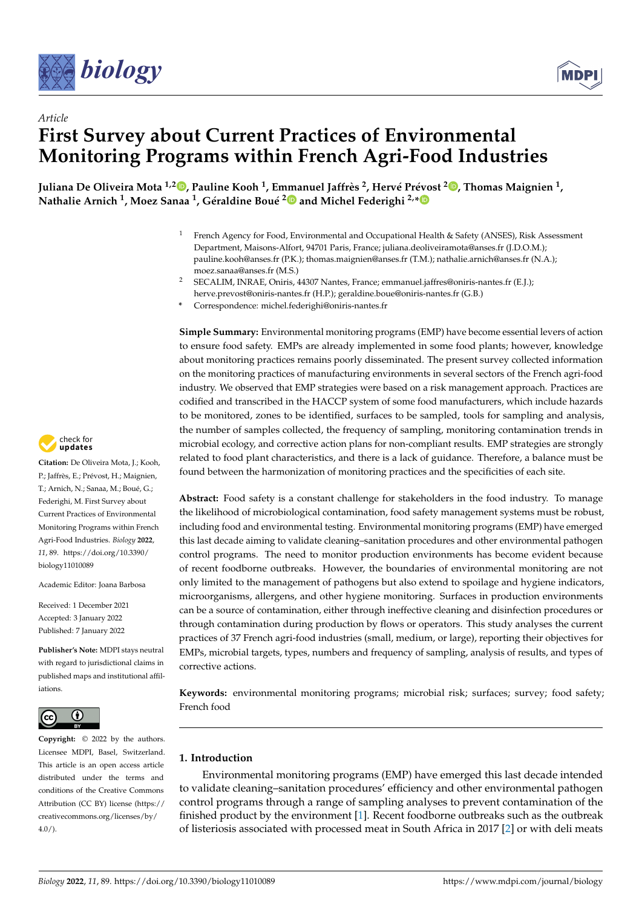



# *Article* **First Survey about Current Practices of Environmental Monitoring Programs within French Agri-Food Industries**

[,](https://orcid.org/0000-0001-9384-8382) Juliana De Oliveira Mota <sup>1,2</sup>®, Pauline Kooh <sup>1</sup>, Emmanuel Jaffrès <sup>2</sup>, Hervé Prévost <sup>2</sup>®, Thomas Maignien <sup>1</sup> **Nathalie Arnich <sup>1</sup> , Moez Sanaa <sup>1</sup> , Géraldine Boué [2](https://orcid.org/0000-0003-3716-8352) and Michel Federighi 2,[\\*](https://orcid.org/0000-0002-1108-6490)**

- <sup>1</sup> French Agency for Food, Environmental and Occupational Health & Safety (ANSES), Risk Assessment Department, Maisons-Alfort, 94701 Paris, France; juliana.deoliveiramota@anses.fr (J.D.O.M.); pauline.kooh@anses.fr (P.K.); thomas.maignien@anses.fr (T.M.); nathalie.arnich@anses.fr (N.A.); moez.sanaa@anses.fr (M.S.)
- <sup>2</sup> SECALIM, INRAE, Oniris, 44307 Nantes, France; emmanuel.jaffres@oniris-nantes.fr (E.J.); herve.prevost@oniris-nantes.fr (H.P.); geraldine.boue@oniris-nantes.fr (G.B.)
- **\*** Correspondence: michel.federighi@oniris-nantes.fr

**Simple Summary:** Environmental monitoring programs (EMP) have become essential levers of action to ensure food safety. EMPs are already implemented in some food plants; however, knowledge about monitoring practices remains poorly disseminated. The present survey collected information on the monitoring practices of manufacturing environments in several sectors of the French agri-food industry. We observed that EMP strategies were based on a risk management approach. Practices are codified and transcribed in the HACCP system of some food manufacturers, which include hazards to be monitored, zones to be identified, surfaces to be sampled, tools for sampling and analysis, the number of samples collected, the frequency of sampling, monitoring contamination trends in microbial ecology, and corrective action plans for non-compliant results. EMP strategies are strongly related to food plant characteristics, and there is a lack of guidance. Therefore, a balance must be found between the harmonization of monitoring practices and the specificities of each site.

**Abstract:** Food safety is a constant challenge for stakeholders in the food industry. To manage the likelihood of microbiological contamination, food safety management systems must be robust, including food and environmental testing. Environmental monitoring programs (EMP) have emerged this last decade aiming to validate cleaning–sanitation procedures and other environmental pathogen control programs. The need to monitor production environments has become evident because of recent foodborne outbreaks. However, the boundaries of environmental monitoring are not only limited to the management of pathogens but also extend to spoilage and hygiene indicators, microorganisms, allergens, and other hygiene monitoring. Surfaces in production environments can be a source of contamination, either through ineffective cleaning and disinfection procedures or through contamination during production by flows or operators. This study analyses the current practices of 37 French agri-food industries (small, medium, or large), reporting their objectives for EMPs, microbial targets, types, numbers and frequency of sampling, analysis of results, and types of corrective actions.

**Keywords:** environmental monitoring programs; microbial risk; surfaces; survey; food safety; French food

## **1. Introduction**

Environmental monitoring programs (EMP) have emerged this last decade intended to validate cleaning–sanitation procedures' efficiency and other environmental pathogen control programs through a range of sampling analyses to prevent contamination of the finished product by the environment [\[1\]](#page-11-0). Recent foodborne outbreaks such as the outbreak of listeriosis associated with processed meat in South Africa in 2017 [\[2\]](#page-11-1) or with deli meats



**Citation:** De Oliveira Mota, J.; Kooh, P.; Jaffrès, E.; Prévost, H.; Maignien, T.; Arnich, N.; Sanaa, M.; Boué, G.; Federighi, M. First Survey about Current Practices of Environmental Monitoring Programs within French Agri-Food Industries. *Biology* **2022**, *11*, 89. [https://doi.org/10.3390/](https://doi.org/10.3390/biology11010089) [biology11010089](https://doi.org/10.3390/biology11010089)

Academic Editor: Joana Barbosa

Received: 1 December 2021 Accepted: 3 January 2022 Published: 7 January 2022

**Publisher's Note:** MDPI stays neutral with regard to jurisdictional claims in published maps and institutional affiliations.



**Copyright:** © 2022 by the authors. Licensee MDPI, Basel, Switzerland. This article is an open access article distributed under the terms and conditions of the Creative Commons Attribution (CC BY) license [\(https://](https://creativecommons.org/licenses/by/4.0/) [creativecommons.org/licenses/by/](https://creativecommons.org/licenses/by/4.0/)  $4.0/$ ).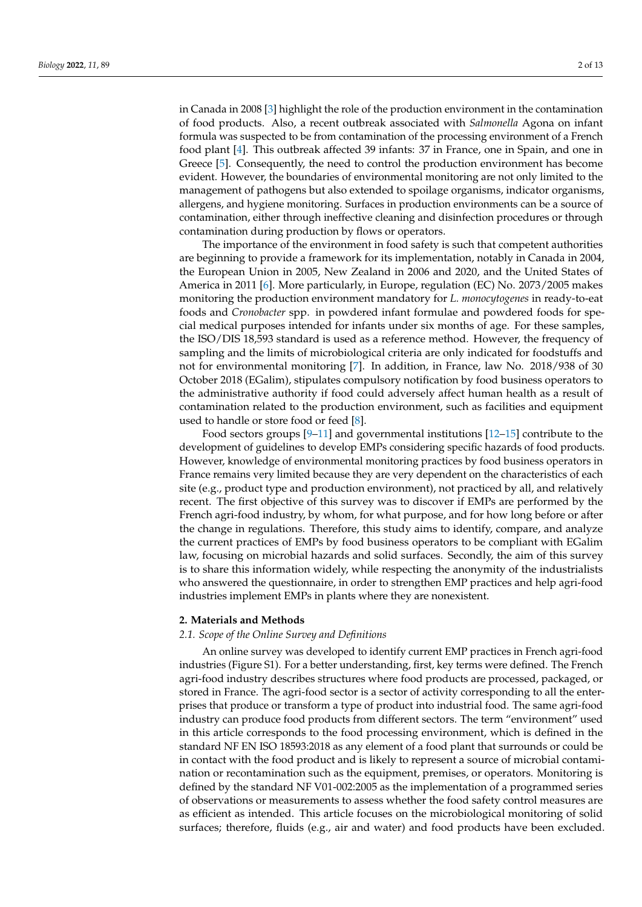in Canada in 2008 [\[3\]](#page-11-2) highlight the role of the production environment in the contamination of food products. Also, a recent outbreak associated with *Salmonella* Agona on infant formula was suspected to be from contamination of the processing environment of a French food plant [\[4\]](#page-11-3). This outbreak affected 39 infants: 37 in France, one in Spain, and one in Greece [\[5\]](#page-11-4). Consequently, the need to control the production environment has become evident. However, the boundaries of environmental monitoring are not only limited to the management of pathogens but also extended to spoilage organisms, indicator organisms, allergens, and hygiene monitoring. Surfaces in production environments can be a source of contamination, either through ineffective cleaning and disinfection procedures or through contamination during production by flows or operators.

The importance of the environment in food safety is such that competent authorities are beginning to provide a framework for its implementation, notably in Canada in 2004, the European Union in 2005, New Zealand in 2006 and 2020, and the United States of America in 2011 [\[6\]](#page-11-5). More particularly, in Europe, regulation (EC) No. 2073/2005 makes monitoring the production environment mandatory for *L. monocytogenes* in ready-to-eat foods and *Cronobacter* spp. in powdered infant formulae and powdered foods for special medical purposes intended for infants under six months of age. For these samples, the ISO/DIS 18,593 standard is used as a reference method. However, the frequency of sampling and the limits of microbiological criteria are only indicated for foodstuffs and not for environmental monitoring [\[7\]](#page-11-6). In addition, in France, law No. 2018/938 of 30 October 2018 (EGalim), stipulates compulsory notification by food business operators to the administrative authority if food could adversely affect human health as a result of contamination related to the production environment, such as facilities and equipment used to handle or store food or feed [\[8\]](#page-11-7).

Food sectors groups [\[9–](#page-11-8)[11\]](#page-11-9) and governmental institutions [\[12–](#page-11-10)[15\]](#page-11-11) contribute to the development of guidelines to develop EMPs considering specific hazards of food products. However, knowledge of environmental monitoring practices by food business operators in France remains very limited because they are very dependent on the characteristics of each site (e.g., product type and production environment), not practiced by all, and relatively recent. The first objective of this survey was to discover if EMPs are performed by the French agri-food industry, by whom, for what purpose, and for how long before or after the change in regulations. Therefore, this study aims to identify, compare, and analyze the current practices of EMPs by food business operators to be compliant with EGalim law, focusing on microbial hazards and solid surfaces. Secondly, the aim of this survey is to share this information widely, while respecting the anonymity of the industrialists who answered the questionnaire, in order to strengthen EMP practices and help agri-food industries implement EMPs in plants where they are nonexistent.

### **2. Materials and Methods**

### *2.1. Scope of the Online Survey and Definitions*

An online survey was developed to identify current EMP practices in French agri-food industries (Figure S1). For a better understanding, first, key terms were defined. The French agri-food industry describes structures where food products are processed, packaged, or stored in France. The agri-food sector is a sector of activity corresponding to all the enterprises that produce or transform a type of product into industrial food. The same agri-food industry can produce food products from different sectors. The term "environment" used in this article corresponds to the food processing environment, which is defined in the standard NF EN ISO 18593:2018 as any element of a food plant that surrounds or could be in contact with the food product and is likely to represent a source of microbial contamination or recontamination such as the equipment, premises, or operators. Monitoring is defined by the standard NF V01-002:2005 as the implementation of a programmed series of observations or measurements to assess whether the food safety control measures are as efficient as intended. This article focuses on the microbiological monitoring of solid surfaces; therefore, fluids (e.g., air and water) and food products have been excluded.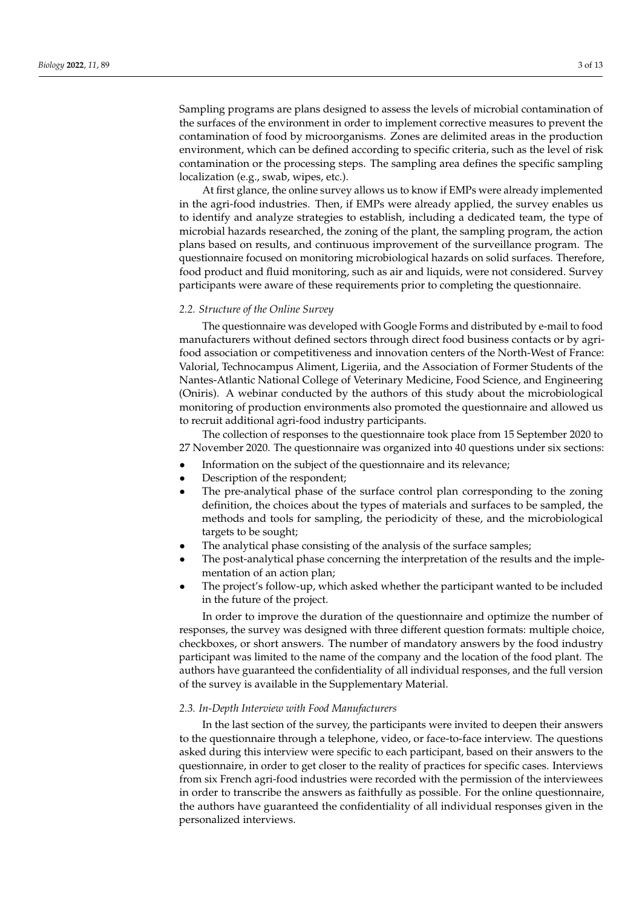Sampling programs are plans designed to assess the levels of microbial contamination of the surfaces of the environment in order to implement corrective measures to prevent the contamination of food by microorganisms. Zones are delimited areas in the production environment, which can be defined according to specific criteria, such as the level of risk contamination or the processing steps. The sampling area defines the specific sampling localization (e.g., swab, wipes, etc.).

At first glance, the online survey allows us to know if EMPs were already implemented in the agri-food industries. Then, if EMPs were already applied, the survey enables us to identify and analyze strategies to establish, including a dedicated team, the type of microbial hazards researched, the zoning of the plant, the sampling program, the action plans based on results, and continuous improvement of the surveillance program. The questionnaire focused on monitoring microbiological hazards on solid surfaces. Therefore, food product and fluid monitoring, such as air and liquids, were not considered. Survey participants were aware of these requirements prior to completing the questionnaire.

### *2.2. Structure of the Online Survey*

The questionnaire was developed with Google Forms and distributed by e-mail to food manufacturers without defined sectors through direct food business contacts or by agrifood association or competitiveness and innovation centers of the North-West of France: Valorial, Technocampus Aliment, Ligeriia, and the Association of Former Students of the Nantes-Atlantic National College of Veterinary Medicine, Food Science, and Engineering (Oniris). A webinar conducted by the authors of this study about the microbiological monitoring of production environments also promoted the questionnaire and allowed us to recruit additional agri-food industry participants.

The collection of responses to the questionnaire took place from 15 September 2020 to 27 November 2020. The questionnaire was organized into 40 questions under six sections:

- Information on the subject of the questionnaire and its relevance;
- Description of the respondent;
- The pre-analytical phase of the surface control plan corresponding to the zoning definition, the choices about the types of materials and surfaces to be sampled, the methods and tools for sampling, the periodicity of these, and the microbiological targets to be sought;
- The analytical phase consisting of the analysis of the surface samples;
- The post-analytical phase concerning the interpretation of the results and the implementation of an action plan;
- The project's follow-up, which asked whether the participant wanted to be included in the future of the project.

In order to improve the duration of the questionnaire and optimize the number of responses, the survey was designed with three different question formats: multiple choice, checkboxes, or short answers. The number of mandatory answers by the food industry participant was limited to the name of the company and the location of the food plant. The authors have guaranteed the confidentiality of all individual responses, and the full version of the survey is available in the Supplementary Material.

### *2.3. In-Depth Interview with Food Manufacturers*

In the last section of the survey, the participants were invited to deepen their answers to the questionnaire through a telephone, video, or face-to-face interview. The questions asked during this interview were specific to each participant, based on their answers to the questionnaire, in order to get closer to the reality of practices for specific cases. Interviews from six French agri-food industries were recorded with the permission of the interviewees in order to transcribe the answers as faithfully as possible. For the online questionnaire, the authors have guaranteed the confidentiality of all individual responses given in the personalized interviews.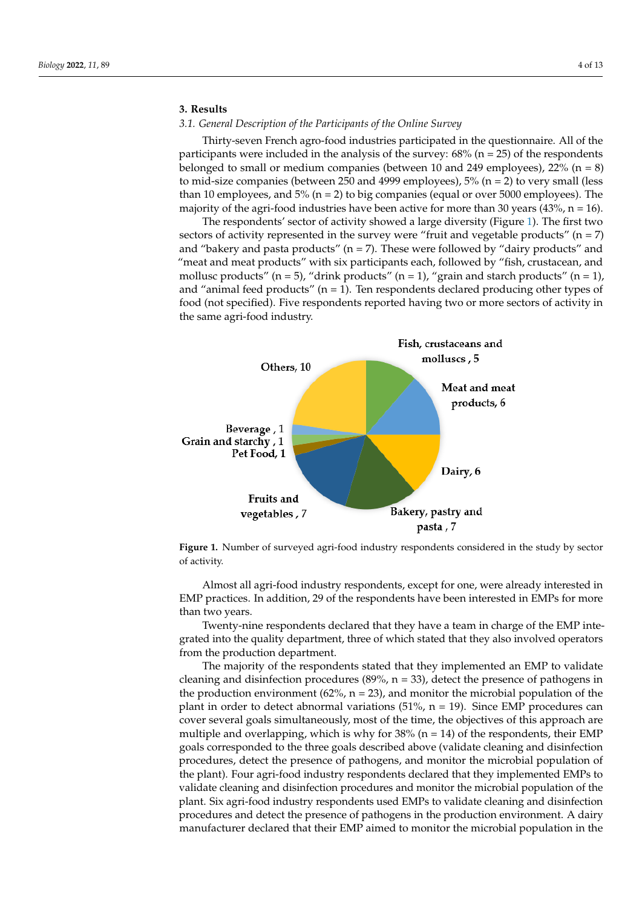## **3. Results**

given in the personalized interviews.

# *3.1. General Description of the Participants of the Online Survey 3.1. General Description of the Participants of the Online Survey*

Thirty-seven French agro-food industries participated in the questionnaire. All of the Thirty-seven French agro-food industries participated in the questionnaire. All of the participants were included in the analysis of the survey: 68% (n = 25) of the respondents participants were included in the analysis of the survey: 68% (n = 25) of the respondents belonged to small or medium companies (between  $10$  and  $249$  employees),  $22%$  (n = 8) to mid-size companies (between 250 and 4999 employees),  $5\%$  (n = 2) to very small (less than 10 employees, and  $5\%$  (n = 2) to big companies (equal or over 5000 employees). The majority of the agri-food industries have been active for more than 30 years (43%, n = 16). jority of the agri-food industries have been active for more than 30 years (43%, n = 16).

The respondents' sector of activity showed a large diversity (Figure [1\)](#page-3-0). The first two The respondents' sector of activity showed a large diversity (Figure 1). The first two sectors of activity represented in the survey were "fruit and vegetable products" ( $n = 7$ ) and "bakery and pasta products" (n = 7). These were followed by "dairy products" and and "bakery and pasta products" (n = 7). These were followed by "dairy products" and "meat and meat products" with six participants each, followed by "fish, crustacean, and "meat and meat products" with six participants each, followed by "fish, crustacean, and mollusc products" (n = 5), "drink products" (n = 1), "grain and starch products" (n = 1), and "animal feed products" (n = 1). Ten respondents declared producing other types of and "animal feed products" (n = 1). Ten respondents declared producing other types of food (not specified). Five respondents reported having two or more sectors of activity in food (not specified). Five respondents reported having two or more sectors of activity in the same agri-food industry. the same agri-food industry.

<span id="page-3-0"></span>

**Figure 1.** Number of surveyed agri-food industry respondents considered in the study by sector activity. of activity.

Almost all agri-food industry respondents, except for one, were already interested in Almost all agri-food industry respondents, except for one, were already interested in EMP practices. In addition, 29 of the respondents have been interested in EMPs for more than two years. than two years.

Twenty-nine respondents declared that they have a team in charge of the EMP inte-Twenty-nine respondents declared that they have a team in charge of the EMP integrated into the quality department, three of which stated that they also involved operators grated into the quality department, three of which stated that they also involved operators from the production department.<br>The mainwith of the may an

The majority of the respondents stated that they implemented an EMP to validate cleaning and disinfection procedures (89%, n = 33), detect the presence of pathogens in the production environment  $(62\% , n = 23)$ , and monitor the microbial population of the plant in order to detect abnormal variations  $(51\% , n = 19)$ . Since EMP procedures can plant in order to detect abnormal variations (51%, n = 19). Since EMP procedures can<br>cover several goals simultaneously, most of the time, the objectives of this approach are multiple and overlapping, which is why for 38% (n = 14) of the respondents, their EMP The majority of the respondents stated that they implemented an EMP to validate goals corresponded to the three goals described above (validate cleaning and disinfection procedures, detect the presence of pathogens, and monitor the microbial population of the plant). Four agri-food industry respondents declared that they implemented EMPs to validate cleaning and disinfection procedures and monitor the microbial population of the plant. Six agri-food industry respondents used EMPs to validate cleaning and disinfection procedures and detect the presence of pathogens in the production environment. A dairy manufacturer declared that their EMP aimed to monitor the microbial population in the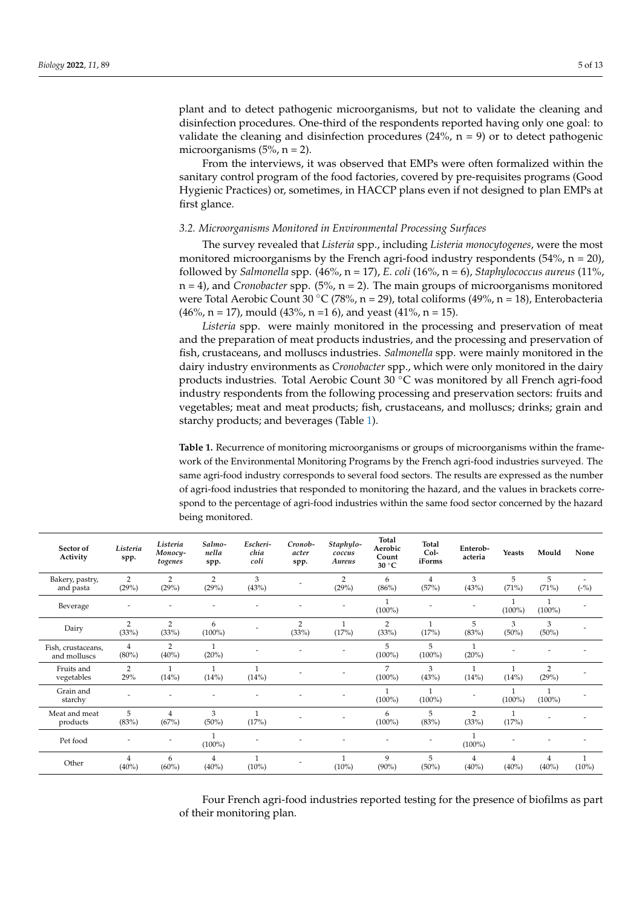plant and to detect pathogenic microorganisms, but not to validate the cleaning and disinfection procedures. One-third of the respondents reported having only one goal: to validate the cleaning and disinfection procedures (24%,  $n = 9$ ) or to detect pathogenic microorganisms  $(5\% , n = 2)$ .

From the interviews, it was observed that EMPs were often formalized within the sanitary control program of the food factories, covered by pre-requisites programs (Good Hygienic Practices) or, sometimes, in HACCP plans even if not designed to plan EMPs at first glance.

### *3.2. Microorganisms Monitored in Environmental Processing Surfaces*

The survey revealed that *Listeria* spp., including *Listeria monocytogenes*, were the most monitored microorganisms by the French agri-food industry respondents  $(54\% , n = 20)$ , followed by *Salmonella* spp. (46%, n = 17), *E. coli* (16%, n = 6), *Staphylococcus aureus* (11%, n = 4), and *Cronobacter* spp. (5%, n = 2). The main groups of microorganisms monitored were Total Aerobic Count 30 °C (78%, n = 29), total coliforms (49%, n = 18), Enterobacteria  $(46\%, n = 17)$ , mould  $(43\%, n = 16)$ , and yeast  $(41\%, n = 15)$ .

*Listeria* spp. were mainly monitored in the processing and preservation of meat and the preparation of meat products industries, and the processing and preservation of fish, crustaceans, and molluscs industries. *Salmonella* spp. were mainly monitored in the dairy industry environments as *Cronobacter* spp., which were only monitored in the dairy products industries. Total Aerobic Count 30 ◦C was monitored by all French agri-food industry respondents from the following processing and preservation sectors: fruits and vegetables; meat and meat products; fish, crustaceans, and molluscs; drinks; grain and starchy products; and beverages (Table [1\)](#page-4-0).

<span id="page-4-0"></span>**Table 1.** Recurrence of monitoring microorganisms or groups of microorganisms within the framework of the Environmental Monitoring Programs by the French agri-food industries surveyed. The same agri-food industry corresponds to several food sectors. The results are expressed as the number of agri-food industries that responded to monitoring the hazard, and the values in brackets correspond to the percentage of agri-food industries within the same food sector concerned by the hazard being monitored.

| Sector of<br>Activity              | Listeria<br>spp.           | Listeria<br>Monocy-<br>togenes | Salmo-<br>nella<br>spp. | Escheri-<br>chia<br>coli | Cronob-<br>acter<br>spp. | Staphylo-<br>coccus<br>Aureus | Total<br>Aerobic<br>Count<br>$30^{\circ}$ C | <b>Total</b><br>Col-<br>iForms | Enterob-<br>acteria        | Yeasts        | Mould                      | None                     |
|------------------------------------|----------------------------|--------------------------------|-------------------------|--------------------------|--------------------------|-------------------------------|---------------------------------------------|--------------------------------|----------------------------|---------------|----------------------------|--------------------------|
| Bakery, pastry,<br>and pasta       | $\overline{2}$<br>(29%)    | $\overline{2}$<br>(29%)        | $\overline{2}$<br>(29%) | 3<br>(43%)               |                          | $\overline{2}$<br>(29%)       | 6<br>$(86\%)$                               | 4<br>(57%)                     | 3<br>(43%)                 | 5<br>(71%)    | 5<br>(71%)                 | $(-\%)$                  |
| Beverage                           |                            |                                |                         |                          |                          |                               | $(100\%)$                                   |                                |                            | $(100\%)$     | $(100\%)$                  |                          |
| Dairy                              | $\overline{2}$<br>(33%)    | $\overline{2}$<br>(33%)        | 6<br>$(100\%)$          |                          | 2<br>(33%)               | (17%)                         | $\overline{2}$<br>(33%)                     | (17%)                          | 5<br>(83%)                 | 3<br>$(50\%)$ | 3<br>$(50\%)$              |                          |
| Fish, crustaceans,<br>and molluscs | 4<br>$(80\%)$              | $\overline{2}$<br>$(40\%)$     | $\mathbf{1}$<br>(20%)   |                          |                          |                               | 5<br>$(100\%)$                              | 5<br>$(100\%)$                 | $\mathbf{1}$<br>(20%)      |               |                            |                          |
| Fruits and<br>vegetables           | $\overline{2}$<br>29%      | (14%)                          | 1<br>(14%)              | 1<br>(14%)               |                          |                               | 7<br>$(100\%)$                              | 3<br>(43%)                     | $\mathbf{1}$<br>(14%)      | (14%)         | $\overline{2}$<br>(29%)    |                          |
| Grain and<br>starchy               | ٠                          |                                |                         |                          |                          |                               | $(100\%)$                                   | $(100\%)$                      |                            | $(100\%)$     | $(100\%)$                  |                          |
| Meat and meat<br>products          | 5<br>(83%)                 | 4<br>(67%)                     | 3<br>$(50\%)$           | (17%)                    |                          |                               | 6<br>$(100\%)$                              | 5<br>(83%)                     | $\overline{2}$<br>(33%)    | (17%)         |                            |                          |
| Pet food                           |                            |                                | $(100\%)$               |                          |                          |                               |                                             |                                | $(100\%)$                  |               |                            |                          |
| Other                              | $\overline{4}$<br>$(40\%)$ | 6<br>$(60\%)$                  | $\overline{4}$<br>(40%) | $\mathbf{1}$<br>$(10\%)$ |                          | $(10\%)$                      | 9<br>$(90\%)$                               | 5<br>$(50\%)$                  | $\overline{4}$<br>$(40\%)$ | 4<br>$(40\%)$ | $\overline{4}$<br>$(40\%)$ | $\mathbf{1}$<br>$(10\%)$ |

Four French agri-food industries reported testing for the presence of biofilms as part of their monitoring plan.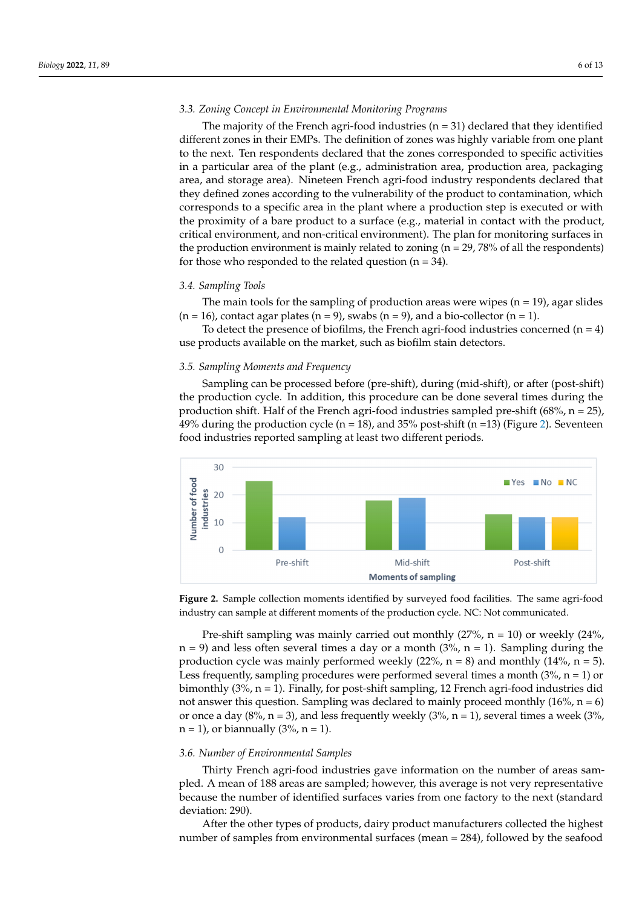## *3.3. Zoning Concept in Environmental Monitoring Programs* The majority of the French agri-food industries (n = 31) declared that they identified *3.3. Zoning Concept in Environmental Monitoring Programs*

The majority of the French agri-food industries ( $n = 31$ ) declared that they identified different zones in their EMPs. The definition of zones was highly variable from one plant to the next. Ten respondents declared that the zones corresponded to specific activities in a particular area of the plant (e.g., administration area, production area, packaging area, and storage area). Nineteen French agri-food industry respondents declared that<br>diameters according to the product to the product to contamination, which correspondents are contaminated to t they defined zones according to the vulnerability of the product to contamination, which the production step is executed or with the production step is executed or with the production or with the step is executed or with t corresponds to a specific area in the plant where a production step is executed or with the proximity of a bare product to a surface (e.g., material in contact with the product, proximity of a bare product to a surface (e.g., material in contact with the product, critical critical environment, and non-critical environment). The plan for monitoring surfaces in the production environment is mainly related to zoning  $(n = 29, 78%$  of all the respondents) for those who responded to the related question  $(n = 34)$ . ence proximity or a sure proceder to a surface (e.g., material in contact while the proceder, the production environment to many related to somme

# *3.4. Sampling Tools 3.4. Sampling Tools*

The main tools for the sampling of production areas were wipes  $(n = 19)$ , agar slides  $(n = 16)$ , contact agar plates  $(n = 9)$ , swabs  $(n = 9)$ , and a bio-collector  $(n = 1)$ .

To detect the presence of biofilms, the French agri-food industries concerned  $(n = 4)$ use products available on the market, such as biofilm stain detectors. use products available on the market, such as biofilm stain detectors.

### *3.5. Sampling Moments and Frequency 3.5. Sampling Moments and Frequency*

Sampling can be processed before (pre-shift), during (mid-shift), or after (post-shift) Sampling can be processed before (pre-shift), during (mid-shift), or after (post-shift) the production cycle. In addition, this procedure can be done several times during the the production cycle. In addition, this procedure can be done several times during the production shift. Half of the French agri-food industries sampled pre-shift (68%, n = 25), production shift. Half of the French agri-food industries sampled pre-shift (68%, n = 25), 49% during the production cycle (n = 18), and 35% post-shift (n =13) (Figure 2). Seventeen 49% during the production cycle (n = 18), and 35% post-shift (n =13) (Figure [2](#page-5-0)). Seventeen food industries reported sampling at least two different periods. food industries reported sampling at least two different periods.

<span id="page-5-0"></span>

Figure 2. Sample collection moments identified by surveyed food facilities. The same agri-food dustry can sample at different moments of the production cycle. NC: Not communicated. industry can sample at different moments of the production cycle. NC: Not communicated.

Pre-shift sampling was mainly carried out monthly (27%,  $n = 10$ ) or weekly (24%,  $n = 9$ ) and less often several times a day or a month (3%,  $n = 1$ ). Sampling during the production cycle was mainly performed weekly (22%,  $n = 8$ ) and monthly (14%,  $n = 5$ ). Less frequently, sampling procedures were performed several times a month (3%,  $n = 1$ ) or monthly (3%, n = 1). Finally, for post-shift sampling, 12 French agri-food industries did bimonthly (3%, n = 1). Finally, for post-shift sampling, 12 French agri-food industries did not answer this question. Sampling was declared to mainly proceed monthly  $(16\%, n = 6)$ or once a day  $(8\%, n = 3)$ , and less frequently weekly  $(3\%, n = 1)$ , several times a week  $(3\%, n = 1)$  $n = 1$ , or biannually (3%,  $n = 1$ ).

### *3.6. Number of Environmental Samples*

Thirty French agri-food industries gave information on the number of areas sampled. A mean of 188 areas are sampled; however, this average is not very representative because the number of identified surfaces varies from one factory to the next (standard deviation: 290).

After the other types of products, dairy product manufacturers collected the highest number of samples from environmental surfaces (mean = 284), followed by the seafood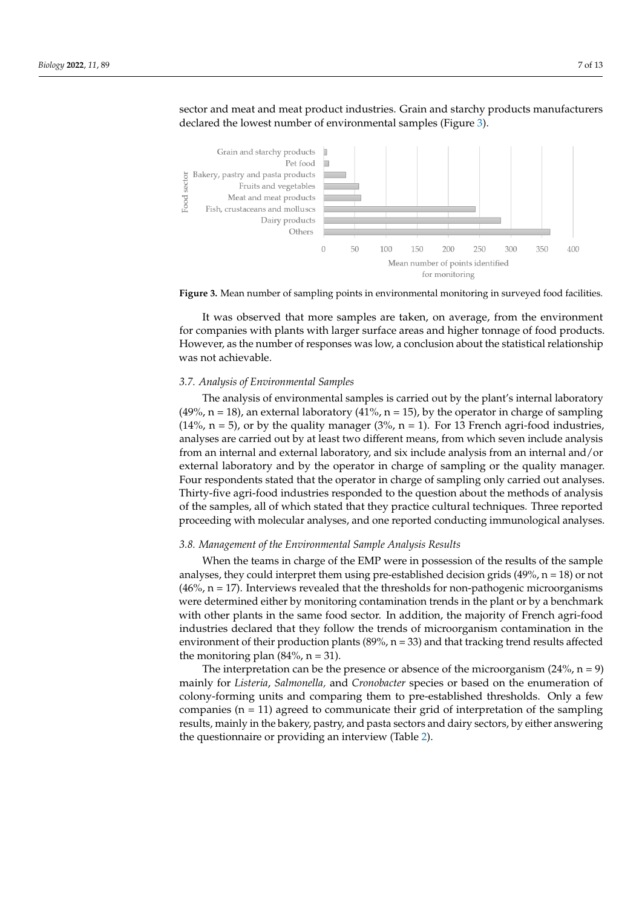sector and meat and meat product industries. Grain and starchy products manufacturers sector and meat and meat product industries. Grain and starchy products manufacturers declared the lowest number of environmental samples (Figure [3\)](#page-6-0). declared the lowest number of environmental samples (Figure 3).

 $A$  the other types of products, dairy products, dairy products, dairy products, dairy products, dairy products, and  $\alpha$ 

<span id="page-6-0"></span>



It was observed that more samples are taken, on average, from the environment for companies with plants with larger surface areas and higher tonnage of food products. However, as the number of responses was low, a conclusion about the statistical relationship was not achievable.

# *3.7. Analysis of Environmental Samples 3.7. Analysis of Environmental Samples*

(49%, n = 18), an external laboratory (41%, n = 15), by the operator in charge of sampling  $(14\% \text{ n = 5})$ , or by the quality manager  $(3\% \text{ n = 1})$ . For 13 French agri-food industries, analyses are carried out by at least two different means, from which seven include analysis analyses are carried out by at least two different means, from which seven include analysis from an internal and external laboratory, and six include analysis from an internal and/or from an internal and external laboratory, and six include analysis from an internal and/or external laboratory and by the operator in charge of sampling or the quality manager. Four respondents stated that the operator in charge of sampling only carried out analyses. Thirty-five agri-food industries responded to the question about the methods of analysis of the samples, all of which stated that they practice cultural techniques. Three reported proceeding with molecular analyses, and one reported conducting immunological analyses. proceeding with molecular analyses, and one reported conducting immunological anal-The analysis of environmental samples is carried out by the plant's internal laboratory

### 3.8. Management of the Environmental Sample Analysis Results

analyses, they could interpret them using pre-established decision grids (49%, n = 18) or not  $(46%, n = 17)$ . Interviews revealed that the thresholds for non-pathogenic microorganisms were determined either by monitoring contamination trends in the plant or by a benchmark with other plants in the same food sector. In addition, the majority of French agri-food industries declared that they follow the trends of microorganism contamination in the environment of their production plants (89%,  $n = 33$ ) and that tracking trend results affected the monitoring plan (84%,  $n = 31$ ). When the teams in charge of the EMP were in possession of the results of the sample

The interpretation can be the presence or absence of the microorganism (24%,  $n = 9$ ) mainly for *Listeria*, *Salmonella*, and *Cronobacter* species or based on the enumeration of colony-forming units and comparing them to pre-established thresholds. Only a few companies  $(n = 11)$  agreed to communicate their grid of interpretation of the sampling results, mainly in the bakery, pastry, and pasta sectors and dairy sectors, by either answering the questionnaire or providing an interview (Table [2\)](#page-7-0).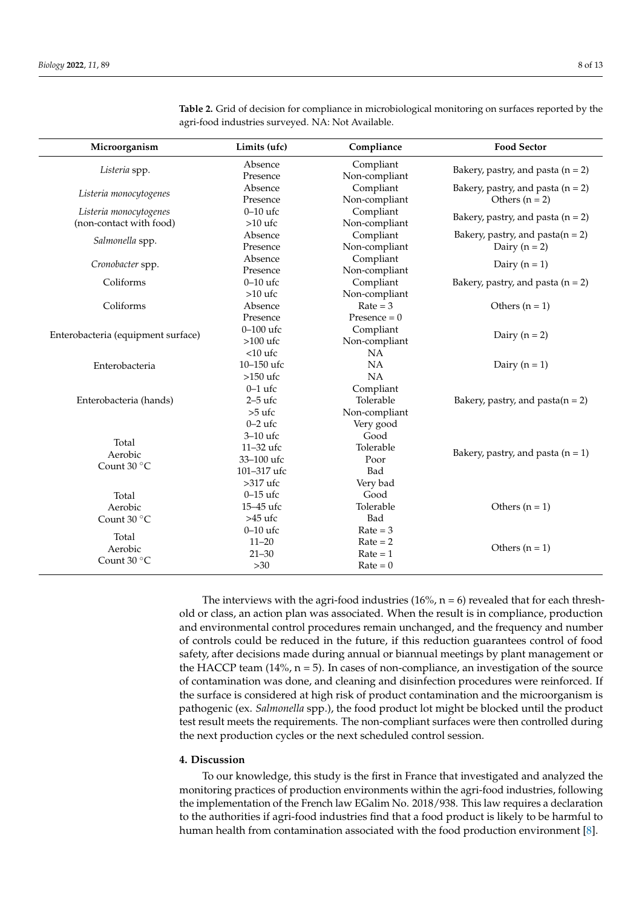| Microorganism                                     | Limits (ufc)                                                    | Compliance                                           | <b>Food Sector</b>                                       |  |
|---------------------------------------------------|-----------------------------------------------------------------|------------------------------------------------------|----------------------------------------------------------|--|
| Listeria spp.                                     | Absence<br>Presence                                             | Compliant<br>Non-compliant                           | Bakery, pastry, and pasta $(n = 2)$                      |  |
| Listeria monocytogenes                            | Absence<br>Presence                                             | Compliant<br>Non-compliant                           | Bakery, pastry, and pasta $(n = 2)$<br>Others $(n = 2)$  |  |
| Listeria monocytogenes<br>(non-contact with food) | $0-10$ ufc<br>$>10$ ufc                                         | Compliant<br>Non-compliant                           | Bakery, pastry, and pasta $(n = 2)$                      |  |
| Salmonella spp.                                   | Absence<br>Presence                                             | Compliant<br>Non-compliant                           | Bakery, pastry, and pasta $(n = 2)$<br>Dairy ( $n = 2$ ) |  |
| Cronobacter spp.                                  | Absence<br>Presence                                             | Compliant<br>Non-compliant                           | Dairy ( $n = 1$ )                                        |  |
| Coliforms                                         | $0-10$ ufc<br>$>10$ ufc                                         | Compliant<br>Non-compliant                           | Bakery, pastry, and pasta $(n = 2)$                      |  |
| Coliforms                                         | Absence<br>Presence                                             | $Rate = 3$<br>Presence $= 0$                         | Others $(n = 1)$                                         |  |
| Enterobacteria (equipment surface)                | $0-100$ ufc<br>$>100$ ufc                                       | Compliant<br>Non-compliant                           | Dairy ( $n = 2$ )                                        |  |
| Enterobacteria                                    | $<$ 10 ufc<br>$10 - 150$ ufc                                    | NA<br>NA                                             | Dairy ( $n = 1$ )                                        |  |
| Enterobacteria (hands)                            | $>150$ ufc<br>$0-1$ ufc<br>$2-5$ ufc<br>$>5$ ufc                | NA<br>Compliant<br>Tolerable<br>Non-compliant        | Bakery, pastry, and pasta $(n = 2)$                      |  |
| Total<br>Aerobic<br>Count 30 °C                   | $0-2$ ufc<br>3-10 ufc<br>11-32 ufc<br>33-100 ufc<br>101-317 ufc | Very good<br>Good<br>Tolerable<br>Poor<br>Bad        | Bakery, pastry, and pasta $(n = 1)$                      |  |
| Total<br>Aerobic<br>Count 30 °C                   | $>317$ ufc<br>$0 - 15$ ufc<br>15-45 ufc<br>>45 ufc              | Very bad<br>Good<br>Tolerable<br>Bad                 | Others $(n = 1)$                                         |  |
| Total<br>Aerobic<br>Count 30 °C                   | $0-10$ ufc<br>$11 - 20$<br>$21 - 30$<br>$>30$                   | $Rate = 3$<br>$Rate = 2$<br>$Rate = 1$<br>$Rate = 0$ | Others $(n = 1)$                                         |  |

<span id="page-7-0"></span>**Table 2.** Grid of decision for compliance in microbiological monitoring on surfaces reported by the agri-food industries surveyed. NA: Not Available.

The interviews with the agri-food industries  $(16\%, n = 6)$  revealed that for each threshold or class, an action plan was associated. When the result is in compliance, production and environmental control procedures remain unchanged, and the frequency and number of controls could be reduced in the future, if this reduction guarantees control of food safety, after decisions made during annual or biannual meetings by plant management or the HACCP team  $(14\%, n=5)$ . In cases of non-compliance, an investigation of the source of contamination was done, and cleaning and disinfection procedures were reinforced. If the surface is considered at high risk of product contamination and the microorganism is pathogenic (ex. *Salmonella* spp.), the food product lot might be blocked until the product test result meets the requirements. The non-compliant surfaces were then controlled during the next production cycles or the next scheduled control session.

### **4. Discussion**

To our knowledge, this study is the first in France that investigated and analyzed the monitoring practices of production environments within the agri-food industries, following the implementation of the French law EGalim No. 2018/938. This law requires a declaration to the authorities if agri-food industries find that a food product is likely to be harmful to human health from contamination associated with the food production environment [\[8\]](#page-11-7).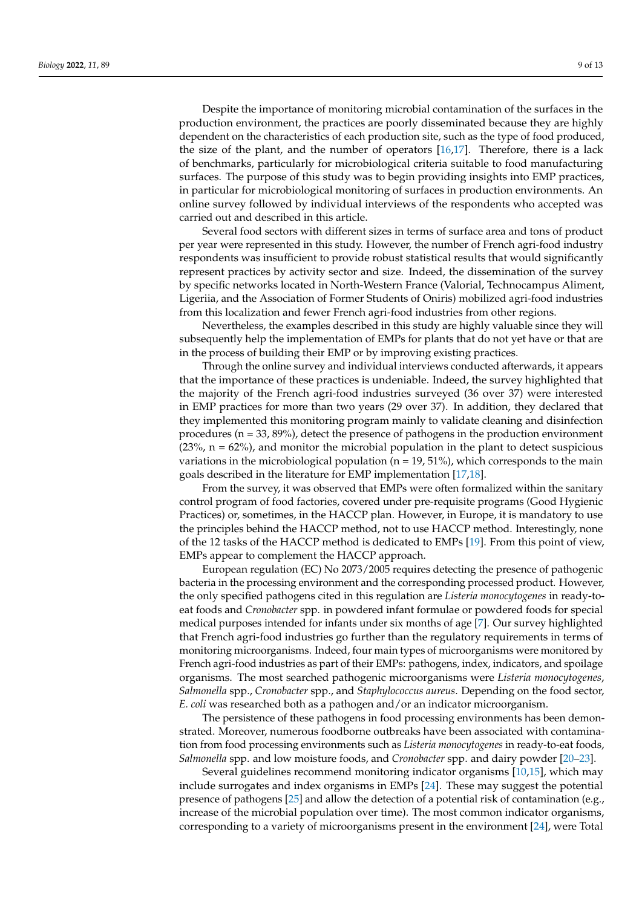Despite the importance of monitoring microbial contamination of the surfaces in the production environment, the practices are poorly disseminated because they are highly dependent on the characteristics of each production site, such as the type of food produced, the size of the plant, and the number of operators [\[16](#page-11-12)[,17\]](#page-11-13). Therefore, there is a lack of benchmarks, particularly for microbiological criteria suitable to food manufacturing surfaces. The purpose of this study was to begin providing insights into EMP practices, in particular for microbiological monitoring of surfaces in production environments. An online survey followed by individual interviews of the respondents who accepted was carried out and described in this article.

Several food sectors with different sizes in terms of surface area and tons of product per year were represented in this study. However, the number of French agri-food industry respondents was insufficient to provide robust statistical results that would significantly represent practices by activity sector and size. Indeed, the dissemination of the survey by specific networks located in North-Western France (Valorial, Technocampus Aliment, Ligeriia, and the Association of Former Students of Oniris) mobilized agri-food industries from this localization and fewer French agri-food industries from other regions.

Nevertheless, the examples described in this study are highly valuable since they will subsequently help the implementation of EMPs for plants that do not yet have or that are in the process of building their EMP or by improving existing practices.

Through the online survey and individual interviews conducted afterwards, it appears that the importance of these practices is undeniable. Indeed, the survey highlighted that the majority of the French agri-food industries surveyed (36 over 37) were interested in EMP practices for more than two years (29 over 37). In addition, they declared that they implemented this monitoring program mainly to validate cleaning and disinfection procedures ( $n = 33, 89\%$ ), detect the presence of pathogens in the production environment  $(23\%, n = 62\%)$ , and monitor the microbial population in the plant to detect suspicious variations in the microbiological population ( $n = 19, 51\%$ ), which corresponds to the main goals described in the literature for EMP implementation [\[17](#page-11-13)[,18\]](#page-11-14).

From the survey, it was observed that EMPs were often formalized within the sanitary control program of food factories, covered under pre-requisite programs (Good Hygienic Practices) or, sometimes, in the HACCP plan. However, in Europe, it is mandatory to use the principles behind the HACCP method, not to use HACCP method. Interestingly, none of the 12 tasks of the HACCP method is dedicated to EMPs [\[19\]](#page-11-15). From this point of view, EMPs appear to complement the HACCP approach.

European regulation (EC) No 2073/2005 requires detecting the presence of pathogenic bacteria in the processing environment and the corresponding processed product. However, the only specified pathogens cited in this regulation are *Listeria monocytogenes* in ready-toeat foods and *Cronobacter* spp. in powdered infant formulae or powdered foods for special medical purposes intended for infants under six months of age [\[7\]](#page-11-6). Our survey highlighted that French agri-food industries go further than the regulatory requirements in terms of monitoring microorganisms. Indeed, four main types of microorganisms were monitored by French agri-food industries as part of their EMPs: pathogens, index, indicators, and spoilage organisms. The most searched pathogenic microorganisms were *Listeria monocytogenes*, *Salmonella* spp., *Cronobacter* spp., and *Staphylococcus aureus*. Depending on the food sector, *E. coli* was researched both as a pathogen and/or an indicator microorganism.

The persistence of these pathogens in food processing environments has been demonstrated. Moreover, numerous foodborne outbreaks have been associated with contamination from food processing environments such as *Listeria monocytogenes* in ready-to-eat foods, *Salmonella* spp. and low moisture foods, and *Cronobacter* spp. and dairy powder [\[20](#page-11-16)[–23\]](#page-12-0).

Several guidelines recommend monitoring indicator organisms [\[10](#page-11-17)[,15\]](#page-11-11), which may include surrogates and index organisms in EMPs [\[24\]](#page-12-1). These may suggest the potential presence of pathogens [\[25\]](#page-12-2) and allow the detection of a potential risk of contamination (e.g., increase of the microbial population over time). The most common indicator organisms, corresponding to a variety of microorganisms present in the environment [\[24\]](#page-12-1), were Total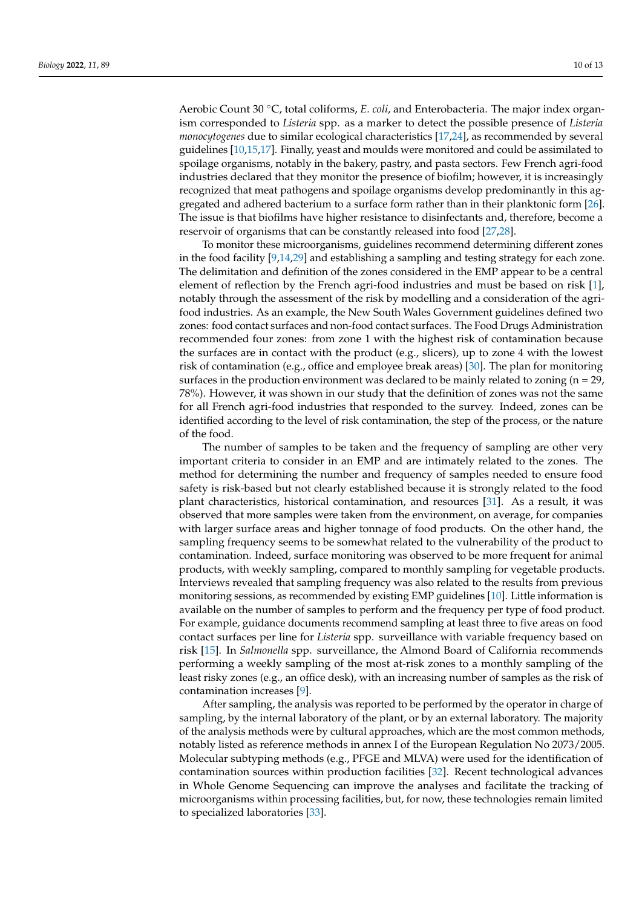Aerobic Count 30 ◦C, total coliforms, *E. coli*, and Enterobacteria. The major index organism corresponded to *Listeria* spp. as a marker to detect the possible presence of *Listeria monocytogenes* due to similar ecological characteristics [\[17](#page-11-13)[,24\]](#page-12-1), as recommended by several guidelines [\[10,](#page-11-17)[15,](#page-11-11)[17\]](#page-11-13). Finally, yeast and moulds were monitored and could be assimilated to spoilage organisms, notably in the bakery, pastry, and pasta sectors. Few French agri-food industries declared that they monitor the presence of biofilm; however, it is increasingly recognized that meat pathogens and spoilage organisms develop predominantly in this aggregated and adhered bacterium to a surface form rather than in their planktonic form [\[26\]](#page-12-3). The issue is that biofilms have higher resistance to disinfectants and, therefore, become a reservoir of organisms that can be constantly released into food [\[27,](#page-12-4)[28\]](#page-12-5).

To monitor these microorganisms, guidelines recommend determining different zones in the food facility [\[9](#page-11-8)[,14,](#page-11-18)[29\]](#page-12-6) and establishing a sampling and testing strategy for each zone. The delimitation and definition of the zones considered in the EMP appear to be a central element of reflection by the French agri-food industries and must be based on risk [\[1\]](#page-11-0), notably through the assessment of the risk by modelling and a consideration of the agrifood industries. As an example, the New South Wales Government guidelines defined two zones: food contact surfaces and non-food contact surfaces. The Food Drugs Administration recommended four zones: from zone 1 with the highest risk of contamination because the surfaces are in contact with the product (e.g., slicers), up to zone 4 with the lowest risk of contamination (e.g., office and employee break areas) [\[30\]](#page-12-7). The plan for monitoring surfaces in the production environment was declared to be mainly related to zoning ( $n = 29$ , 78%). However, it was shown in our study that the definition of zones was not the same for all French agri-food industries that responded to the survey. Indeed, zones can be identified according to the level of risk contamination, the step of the process, or the nature of the food.

The number of samples to be taken and the frequency of sampling are other very important criteria to consider in an EMP and are intimately related to the zones. The method for determining the number and frequency of samples needed to ensure food safety is risk-based but not clearly established because it is strongly related to the food plant characteristics, historical contamination, and resources [\[31\]](#page-12-8). As a result, it was observed that more samples were taken from the environment, on average, for companies with larger surface areas and higher tonnage of food products. On the other hand, the sampling frequency seems to be somewhat related to the vulnerability of the product to contamination. Indeed, surface monitoring was observed to be more frequent for animal products, with weekly sampling, compared to monthly sampling for vegetable products. Interviews revealed that sampling frequency was also related to the results from previous monitoring sessions, as recommended by existing EMP guidelines [\[10\]](#page-11-17). Little information is available on the number of samples to perform and the frequency per type of food product. For example, guidance documents recommend sampling at least three to five areas on food contact surfaces per line for *Listeria* spp. surveillance with variable frequency based on risk [\[15\]](#page-11-11). In *Salmonella* spp. surveillance, the Almond Board of California recommends performing a weekly sampling of the most at-risk zones to a monthly sampling of the least risky zones (e.g., an office desk), with an increasing number of samples as the risk of contamination increases [\[9\]](#page-11-8).

After sampling, the analysis was reported to be performed by the operator in charge of sampling, by the internal laboratory of the plant, or by an external laboratory. The majority of the analysis methods were by cultural approaches, which are the most common methods, notably listed as reference methods in annex I of the European Regulation No 2073/2005. Molecular subtyping methods (e.g., PFGE and MLVA) were used for the identification of contamination sources within production facilities [\[32\]](#page-12-9). Recent technological advances in Whole Genome Sequencing can improve the analyses and facilitate the tracking of microorganisms within processing facilities, but, for now, these technologies remain limited to specialized laboratories [\[33\]](#page-12-10).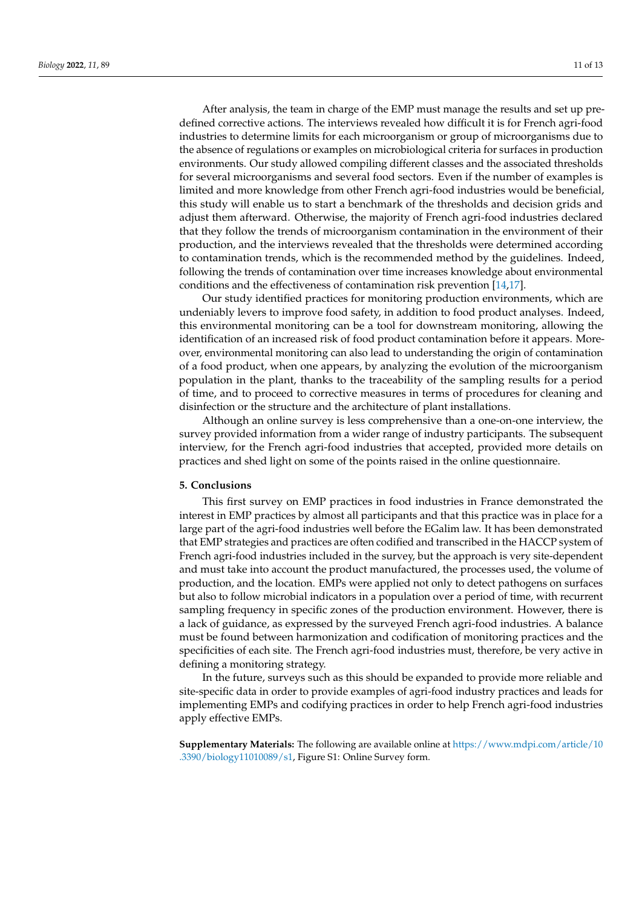After analysis, the team in charge of the EMP must manage the results and set up predefined corrective actions. The interviews revealed how difficult it is for French agri-food industries to determine limits for each microorganism or group of microorganisms due to the absence of regulations or examples on microbiological criteria for surfaces in production environments. Our study allowed compiling different classes and the associated thresholds for several microorganisms and several food sectors. Even if the number of examples is limited and more knowledge from other French agri-food industries would be beneficial, this study will enable us to start a benchmark of the thresholds and decision grids and adjust them afterward. Otherwise, the majority of French agri-food industries declared that they follow the trends of microorganism contamination in the environment of their production, and the interviews revealed that the thresholds were determined according to contamination trends, which is the recommended method by the guidelines. Indeed, following the trends of contamination over time increases knowledge about environmental conditions and the effectiveness of contamination risk prevention [\[14,](#page-11-18)[17\]](#page-11-13).

Our study identified practices for monitoring production environments, which are undeniably levers to improve food safety, in addition to food product analyses. Indeed, this environmental monitoring can be a tool for downstream monitoring, allowing the identification of an increased risk of food product contamination before it appears. Moreover, environmental monitoring can also lead to understanding the origin of contamination of a food product, when one appears, by analyzing the evolution of the microorganism population in the plant, thanks to the traceability of the sampling results for a period of time, and to proceed to corrective measures in terms of procedures for cleaning and disinfection or the structure and the architecture of plant installations.

Although an online survey is less comprehensive than a one-on-one interview, the survey provided information from a wider range of industry participants. The subsequent interview, for the French agri-food industries that accepted, provided more details on practices and shed light on some of the points raised in the online questionnaire.

### **5. Conclusions**

This first survey on EMP practices in food industries in France demonstrated the interest in EMP practices by almost all participants and that this practice was in place for a large part of the agri-food industries well before the EGalim law. It has been demonstrated that EMP strategies and practices are often codified and transcribed in the HACCP system of French agri-food industries included in the survey, but the approach is very site-dependent and must take into account the product manufactured, the processes used, the volume of production, and the location. EMPs were applied not only to detect pathogens on surfaces but also to follow microbial indicators in a population over a period of time, with recurrent sampling frequency in specific zones of the production environment. However, there is a lack of guidance, as expressed by the surveyed French agri-food industries. A balance must be found between harmonization and codification of monitoring practices and the specificities of each site. The French agri-food industries must, therefore, be very active in defining a monitoring strategy.

In the future, surveys such as this should be expanded to provide more reliable and site-specific data in order to provide examples of agri-food industry practices and leads for implementing EMPs and codifying practices in order to help French agri-food industries apply effective EMPs.

**Supplementary Materials:** The following are available online at [https://www.mdpi.com/article/10](https://www.mdpi.com/article/10.3390/biology11010089/s1) [.3390/biology11010089/s1,](https://www.mdpi.com/article/10.3390/biology11010089/s1) Figure S1: Online Survey form.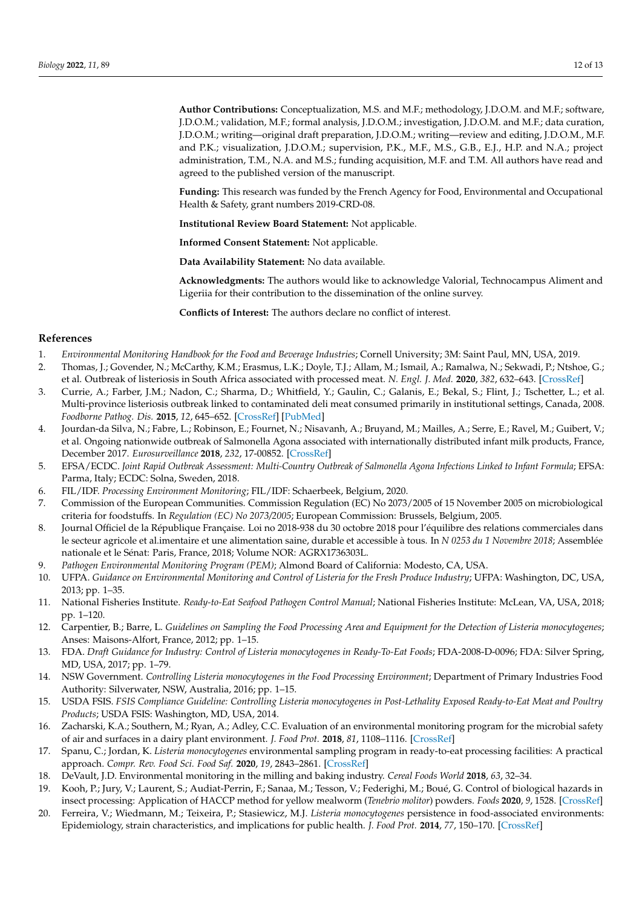**Author Contributions:** Conceptualization, M.S. and M.F.; methodology, J.D.O.M. and M.F.; software, J.D.O.M.; validation, M.F.; formal analysis, J.D.O.M.; investigation, J.D.O.M. and M.F.; data curation, J.D.O.M.; writing—original draft preparation, J.D.O.M.; writing—review and editing, J.D.O.M., M.F. and P.K.; visualization, J.D.O.M.; supervision, P.K., M.F., M.S., G.B., E.J., H.P. and N.A.; project administration, T.M., N.A. and M.S.; funding acquisition, M.F. and T.M. All authors have read and agreed to the published version of the manuscript.

**Funding:** This research was funded by the French Agency for Food, Environmental and Occupational Health & Safety, grant numbers 2019-CRD-08.

**Institutional Review Board Statement:** Not applicable.

**Informed Consent Statement:** Not applicable.

**Data Availability Statement:** No data available.

**Acknowledgments:** The authors would like to acknowledge Valorial, Technocampus Aliment and Ligeriia for their contribution to the dissemination of the online survey.

**Conflicts of Interest:** The authors declare no conflict of interest.

### **References**

- <span id="page-11-0"></span>1. *Environmental Monitoring Handbook for the Food and Beverage Industries*; Cornell University; 3M: Saint Paul, MN, USA, 2019.
- <span id="page-11-1"></span>2. Thomas, J.; Govender, N.; McCarthy, K.M.; Erasmus, L.K.; Doyle, T.J.; Allam, M.; Ismail, A.; Ramalwa, N.; Sekwadi, P.; Ntshoe, G.; et al. Outbreak of listeriosis in South Africa associated with processed meat. *N. Engl. J. Med.* **2020**, *382*, 632–643. [\[CrossRef\]](http://doi.org/10.1056/NEJMoa1907462)
- <span id="page-11-2"></span>3. Currie, A.; Farber, J.M.; Nadon, C.; Sharma, D.; Whitfield, Y.; Gaulin, C.; Galanis, E.; Bekal, S.; Flint, J.; Tschetter, L.; et al. Multi-province listeriosis outbreak linked to contaminated deli meat consumed primarily in institutional settings, Canada, 2008. *Foodborne Pathog. Dis.* **2015**, *12*, 645–652. [\[CrossRef\]](http://doi.org/10.1089/fpd.2015.1939) [\[PubMed\]](http://www.ncbi.nlm.nih.gov/pubmed/26258258)
- <span id="page-11-3"></span>4. Jourdan-da Silva, N.; Fabre, L.; Robinson, E.; Fournet, N.; Nisavanh, A.; Bruyand, M.; Mailles, A.; Serre, E.; Ravel, M.; Guibert, V.; et al. Ongoing nationwide outbreak of Salmonella Agona associated with internationally distributed infant milk products, France, December 2017. *Eurosurveillance* **2018**, *232*, 17-00852. [\[CrossRef\]](http://doi.org/10.2807/1560-7917.ES.2018.23.2.17-00852)
- <span id="page-11-4"></span>5. EFSA/ECDC. *Joint Rapid Outbreak Assessment: Multi-Country Outbreak of Salmonella Agona Infections Linked to Infant Formula*; EFSA: Parma, Italy; ECDC: Solna, Sweden, 2018.
- <span id="page-11-5"></span>6. FIL/IDF. *Processing Environment Monitoring*; FIL/IDF: Schaerbeek, Belgium, 2020.
- <span id="page-11-6"></span>7. Commission of the European Communities. Commission Regulation (EC) No 2073/2005 of 15 November 2005 on microbiological criteria for foodstuffs. In *Regulation (EC) No 2073/2005*; European Commission: Brussels, Belgium, 2005.
- <span id="page-11-7"></span>8. Journal Officiel de la République Française. Loi no 2018-938 du 30 octobre 2018 pour l'équilibre des relations commerciales dans le secteur agricole et al.imentaire et une alimentation saine, durable et accessible à tous. In *N 0253 du 1 Novembre 2018*; Assemblée nationale et le Sénat: Paris, France, 2018; Volume NOR: AGRX1736303L.
- <span id="page-11-8"></span>9. *Pathogen Environmental Monitoring Program (PEM)*; Almond Board of California: Modesto, CA, USA.
- <span id="page-11-17"></span>10. UFPA. *Guidance on Environmental Monitoring and Control of Listeria for the Fresh Produce Industry*; UFPA: Washington, DC, USA, 2013; pp. 1–35.
- <span id="page-11-9"></span>11. National Fisheries Institute. *Ready-to-Eat Seafood Pathogen Control Manual*; National Fisheries Institute: McLean, VA, USA, 2018; pp. 1–120.
- <span id="page-11-10"></span>12. Carpentier, B.; Barre, L. *Guidelines on Sampling the Food Processing Area and Equipment for the Detection of Listeria monocytogenes*; Anses: Maisons-Alfort, France, 2012; pp. 1–15.
- 13. FDA. *Draft Guidance for Industry: Control of Listeria monocytogenes in Ready-To-Eat Foods*; FDA-2008-D-0096; FDA: Silver Spring, MD, USA, 2017; pp. 1–79.
- <span id="page-11-18"></span>14. NSW Government. *Controlling Listeria monocytogenes in the Food Processing Environment*; Department of Primary Industries Food Authority: Silverwater, NSW, Australia, 2016; pp. 1–15.
- <span id="page-11-11"></span>15. USDA FSIS. *FSIS Compliance Guideline: Controlling Listeria monocytogenes in Post-Lethality Exposed Ready-to-Eat Meat and Poultry Products*; USDA FSIS: Washington, MD, USA, 2014.
- <span id="page-11-12"></span>16. Zacharski, K.A.; Southern, M.; Ryan, A.; Adley, C.C. Evaluation of an environmental monitoring program for the microbial safety of air and surfaces in a dairy plant environment. *J. Food Prot.* **2018**, *81*, 1108–1116. [\[CrossRef\]](http://doi.org/10.4315/0362-028X.JFP-17-464)
- <span id="page-11-13"></span>17. Spanu, C.; Jordan, K. *Listeria monocytogenes* environmental sampling program in ready-to-eat processing facilities: A practical approach. *Compr. Rev. Food Sci. Food Saf.* **2020**, *19*, 2843–2861. [\[CrossRef\]](http://doi.org/10.1111/1541-4337.12619)
- <span id="page-11-14"></span>18. DeVault, J.D. Environmental monitoring in the milling and baking industry. *Cereal Foods World* **2018**, *63*, 32–34.
- <span id="page-11-15"></span>19. Kooh, P.; Jury, V.; Laurent, S.; Audiat-Perrin, F.; Sanaa, M.; Tesson, V.; Federighi, M.; Boué, G. Control of biological hazards in insect processing: Application of HACCP method for yellow mealworm (*Tenebrio molitor*) powders. *Foods* **2020**, *9*, 1528. [\[CrossRef\]](http://doi.org/10.3390/foods9111528)
- <span id="page-11-16"></span>20. Ferreira, V.; Wiedmann, M.; Teixeira, P.; Stasiewicz, M.J. *Listeria monocytogenes* persistence in food-associated environments: Epidemiology, strain characteristics, and implications for public health. *J. Food Prot.* **2014**, *77*, 150–170. [\[CrossRef\]](http://doi.org/10.4315/0362-028X.JFP-13-150)